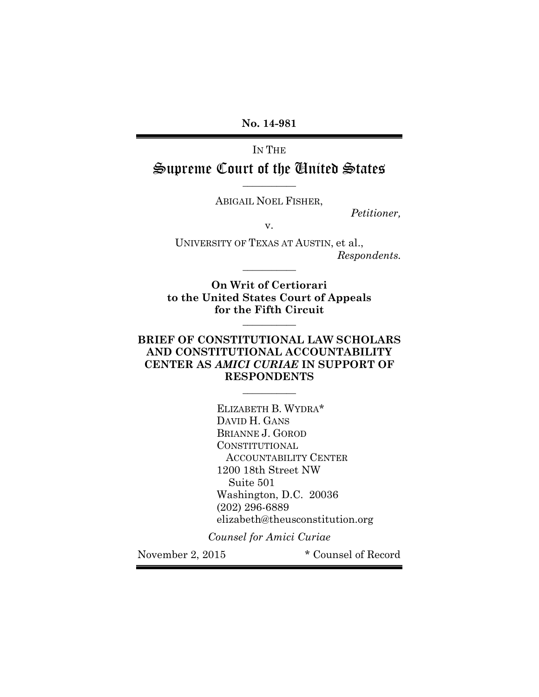No. 14-981

IN THE Supreme Court of the United States

\_\_\_\_\_\_\_\_\_\_\_

ABIGAIL NOEL FISHER,

Petitioner,

v.

UNIVERSITY OF TEXAS AT AUSTIN, et al., Respondents.

On Writ of Certiorari to the United States Court of Appeals for the Fifth Circuit

\_\_\_\_\_\_\_\_\_\_\_

\_\_\_\_\_\_\_\_\_\_\_

## BRIEF OF CONSTITUTIONAL LAW SCHOLARS AND CONSTITUTIONAL ACCOUNTABILITY CENTER AS AMICI CURIAE IN SUPPORT OF RESPONDENTS

\_\_\_\_\_\_\_\_\_\_\_

ELIZABETH B. WYDRA\* DAVID H. GANS BRIANNE J. GOROD CONSTITUTIONAL ACCOUNTABILITY CENTER 1200 18th Street NW Suite 501 Washington, D.C. 20036 (202) 296-6889 elizabeth@theusconstitution.org

Counsel for Amici Curiae

November 2, 2015 \* Counsel of Record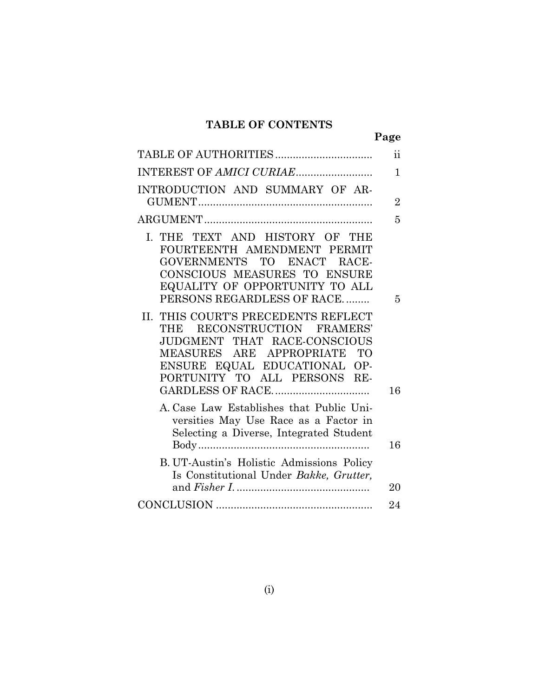# TABLE OF CONTENTS

|                                                                                                                                                                                                                                                                         | Page           |
|-------------------------------------------------------------------------------------------------------------------------------------------------------------------------------------------------------------------------------------------------------------------------|----------------|
|                                                                                                                                                                                                                                                                         | $\rm ii$       |
| INTEREST OF AMICI CURIAE                                                                                                                                                                                                                                                | $\mathbf{1}$   |
| INTRODUCTION AND SUMMARY OF AR-                                                                                                                                                                                                                                         | $\overline{2}$ |
|                                                                                                                                                                                                                                                                         | 5              |
| I. THE TEXT AND HISTORY OF THE<br>FOURTEENTH AMENDMENT PERMIT<br>GOVERNMENTS TO ENACT RACE-<br>CONSCIOUS MEASURES TO ENSURE<br>EQUALITY OF OPPORTUNITY TO ALL<br>PERSONS REGARDLESS OF RACE<br>THIS COURT'S PRECEDENTS REFLECT<br>II.<br>RECONSTRUCTION FRAMERS'<br>THE | 5              |
| JUDGMENT THAT RACE-CONSCIOUS<br>MEASURES ARE APPROPRIATE TO<br>ENSURE EQUAL EDUCATIONAL OP-<br>PORTUNITY TO ALL PERSONS RE-                                                                                                                                             | 16             |
| A. Case Law Establishes that Public Uni-<br>versities May Use Race as a Factor in<br>Selecting a Diverse, Integrated Student                                                                                                                                            | 16             |
| B. UT-Austin's Holistic Admissions Policy<br>Is Constitutional Under Bakke, Grutter,                                                                                                                                                                                    | 20             |
|                                                                                                                                                                                                                                                                         | 24             |
|                                                                                                                                                                                                                                                                         |                |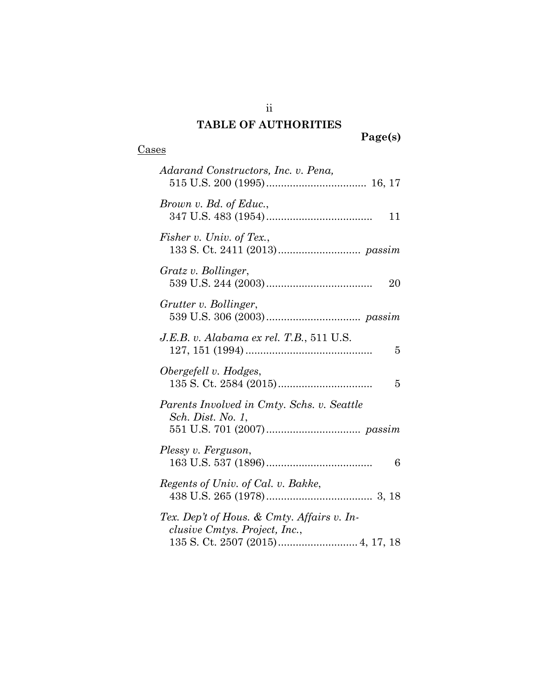# TABLE OF AUTHORITIES

ii

Page(s)

# Cases

| Adarand Constructors, Inc. v. Pena,                                         |
|-----------------------------------------------------------------------------|
| Brown v. Bd. of Educ.,<br>11                                                |
| Fisher v. Univ. of Tex.,                                                    |
| Gratz v. Bollinger,<br>20                                                   |
| Grutter v. Bollinger,                                                       |
| J.E.B. v. Alabama ex rel. T.B., 511 U.S.<br>5                               |
| Obergefell v. Hodges,<br>5                                                  |
| Parents Involved in Cmty. Schs. v. Seattle<br><i>Sch. Dist. No. 1,</i>      |
| Plessy v. Ferguson,<br>6                                                    |
| Regents of Univ. of Cal. v. Bakke,                                          |
| Tex. Dep't of Hous. & Cmty. Affairs v. In-<br>clusive Cmtys. Project, Inc., |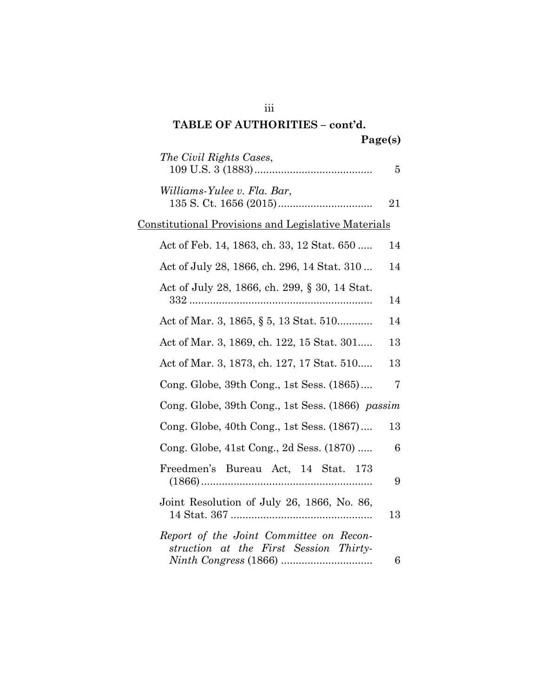# TABLE OF AUTHORITIES – cont'd. Page(s)

| The Civil Rights Cases,                                                           | 5  |
|-----------------------------------------------------------------------------------|----|
| Williams-Yulee v. Fla. Bar,                                                       | 21 |
| <u>Constitutional Provisions and Legislative Materials</u>                        |    |
| Act of Feb. 14, 1863, ch. 33, 12 Stat. 650                                        | 14 |
| Act of July 28, 1866, ch. 296, 14 Stat. 310                                       | 14 |
| Act of July 28, 1866, ch. 299, § 30, 14 Stat.                                     | 14 |
| Act of Mar. 3, 1865, § 5, 13 Stat. 510                                            | 14 |
| Act of Mar. 3, 1869, ch. 122, 15 Stat. 301                                        | 13 |
| Act of Mar. 3, 1873, ch. 127, 17 Stat. 510                                        | 13 |
| Cong. Globe, 39th Cong., 1st Sess. (1865)                                         | 7  |
| Cong. Globe, 39th Cong., 1st Sess. (1866) passim                                  |    |
| Cong. Globe, 40th Cong., 1st Sess. (1867)                                         | 13 |
| Cong. Globe, 41st Cong., 2d Sess. (1870)                                          | 6  |
| Freedmen's Bureau Act, 14 Stat. 173                                               | 9  |
| Joint Resolution of July 26, 1866, No. 86,                                        | 13 |
| Report of the Joint Committee on Recon-<br>struction at the First Session Thirty- | 6  |

iii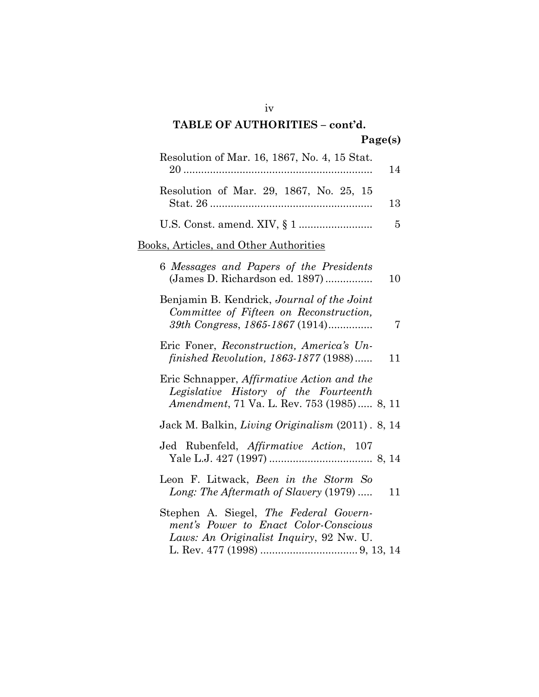# TABLE OF AUTHORITIES – cont'd. Page(s)

| Resolution of Mar. 16, 1867, No. 4, 15 Stat.                                                                                              | 14 |  |
|-------------------------------------------------------------------------------------------------------------------------------------------|----|--|
| Resolution of Mar. 29, 1867, No. 25, 15                                                                                                   | 13 |  |
|                                                                                                                                           | 5  |  |
| <u>Books, Articles, and Other Authorities</u>                                                                                             |    |  |
| 6 Messages and Papers of the Presidents<br>(James D. Richardson ed. 1897)                                                                 | 10 |  |
| Benjamin B. Kendrick, Journal of the Joint<br>Committee of Fifteen on Reconstruction,<br>39th Congress, 1865-1867 (1914)                  | 7  |  |
| Eric Foner, Reconstruction, America's Un-<br><i>finished Revolution, 1863-1877</i> (1988)                                                 | 11 |  |
| Eric Schnapper, Affirmative Action and the<br>Legislative History of the Fourteenth<br><i>Amendment, 71 Va. L. Rev. 753 (1985)  8, 11</i> |    |  |
| Jack M. Balkin, Living Originalism (2011). 8, 14                                                                                          |    |  |
| Jed Rubenfeld, Affirmative Action, 107                                                                                                    |    |  |
| Leon F. Litwack, Been in the Storm So<br>Long: The Aftermath of Slavery (1979)                                                            | 11 |  |
| Stephen A. Siegel, The Federal Govern-<br>ment's Power to Enact Color-Conscious<br>Laws: An Originalist Inquiry, 92 Nw. U.                |    |  |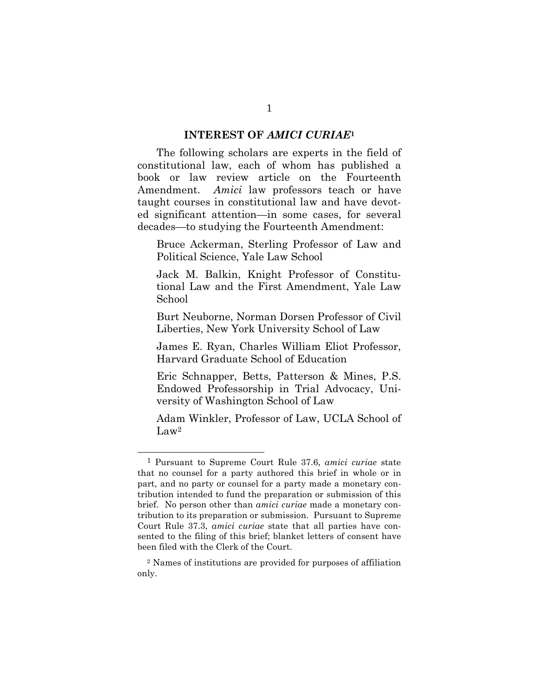#### INTEREST OF AMICI CURIAE<sup>1</sup>

The following scholars are experts in the field of constitutional law, each of whom has published a book or law review article on the Fourteenth Amendment. Amici law professors teach or have taught courses in constitutional law and have devoted significant attention—in some cases, for several decades—to studying the Fourteenth Amendment:

Bruce Ackerman, Sterling Professor of Law and Political Science, Yale Law School

Jack M. Balkin, Knight Professor of Constitutional Law and the First Amendment, Yale Law School

Burt Neuborne, Norman Dorsen Professor of Civil Liberties, New York University School of Law

James E. Ryan, Charles William Eliot Professor, Harvard Graduate School of Education

Eric Schnapper, Betts, Patterson & Mines, P.S. Endowed Professorship in Trial Advocacy, University of Washington School of Law

Adam Winkler, Professor of Law, UCLA School of Law<sup>2</sup>

 $\overline{a}$ 

<sup>&</sup>lt;sup>1</sup> Pursuant to Supreme Court Rule 37.6, *amici curiae* state that no counsel for a party authored this brief in whole or in part, and no party or counsel for a party made a monetary contribution intended to fund the preparation or submission of this brief. No person other than amici curiae made a monetary contribution to its preparation or submission. Pursuant to Supreme Court Rule 37.3, amici curiae state that all parties have consented to the filing of this brief; blanket letters of consent have been filed with the Clerk of the Court.

<sup>2</sup> Names of institutions are provided for purposes of affiliation only.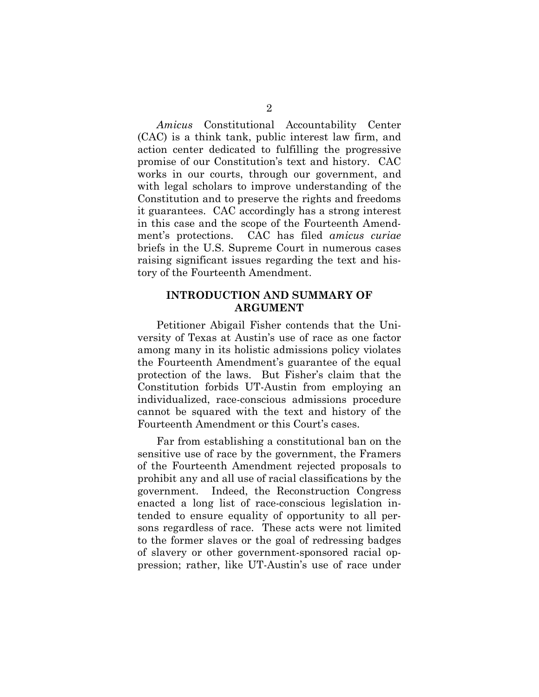Amicus Constitutional Accountability Center (CAC) is a think tank, public interest law firm, and action center dedicated to fulfilling the progressive promise of our Constitution's text and history. CAC works in our courts, through our government, and with legal scholars to improve understanding of the Constitution and to preserve the rights and freedoms it guarantees. CAC accordingly has a strong interest in this case and the scope of the Fourteenth Amendment's protections. CAC has filed amicus curiae briefs in the U.S. Supreme Court in numerous cases raising significant issues regarding the text and history of the Fourteenth Amendment.

### INTRODUCTION AND SUMMARY OF ARGUMENT

Petitioner Abigail Fisher contends that the University of Texas at Austin's use of race as one factor among many in its holistic admissions policy violates the Fourteenth Amendment's guarantee of the equal protection of the laws. But Fisher's claim that the Constitution forbids UT-Austin from employing an individualized, race-conscious admissions procedure cannot be squared with the text and history of the Fourteenth Amendment or this Court's cases.

Far from establishing a constitutional ban on the sensitive use of race by the government, the Framers of the Fourteenth Amendment rejected proposals to prohibit any and all use of racial classifications by the government. Indeed, the Reconstruction Congress enacted a long list of race-conscious legislation intended to ensure equality of opportunity to all persons regardless of race. These acts were not limited to the former slaves or the goal of redressing badges of slavery or other government-sponsored racial oppression; rather, like UT-Austin's use of race under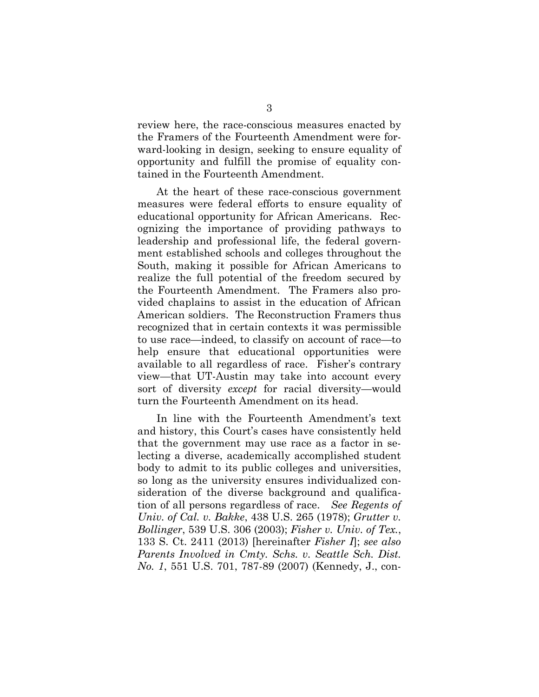review here, the race-conscious measures enacted by the Framers of the Fourteenth Amendment were forward-looking in design, seeking to ensure equality of opportunity and fulfill the promise of equality contained in the Fourteenth Amendment.

At the heart of these race-conscious government measures were federal efforts to ensure equality of educational opportunity for African Americans. Recognizing the importance of providing pathways to leadership and professional life, the federal government established schools and colleges throughout the South, making it possible for African Americans to realize the full potential of the freedom secured by the Fourteenth Amendment. The Framers also provided chaplains to assist in the education of African American soldiers. The Reconstruction Framers thus recognized that in certain contexts it was permissible to use race—indeed, to classify on account of race—to help ensure that educational opportunities were available to all regardless of race. Fisher's contrary view—that UT-Austin may take into account every sort of diversity except for racial diversity—would turn the Fourteenth Amendment on its head.

In line with the Fourteenth Amendment's text and history, this Court's cases have consistently held that the government may use race as a factor in selecting a diverse, academically accomplished student body to admit to its public colleges and universities, so long as the university ensures individualized consideration of the diverse background and qualification of all persons regardless of race. See Regents of Univ. of Cal. v. Bakke, 438 U.S. 265 (1978); Grutter v. Bollinger, 539 U.S. 306 (2003); Fisher v. Univ. of Tex., 133 S. Ct. 2411 (2013) [hereinafter Fisher I]; see also Parents Involved in Cmty. Schs. v. Seattle Sch. Dist. No. 1, 551 U.S. 701, 787-89 (2007) (Kennedy, J., con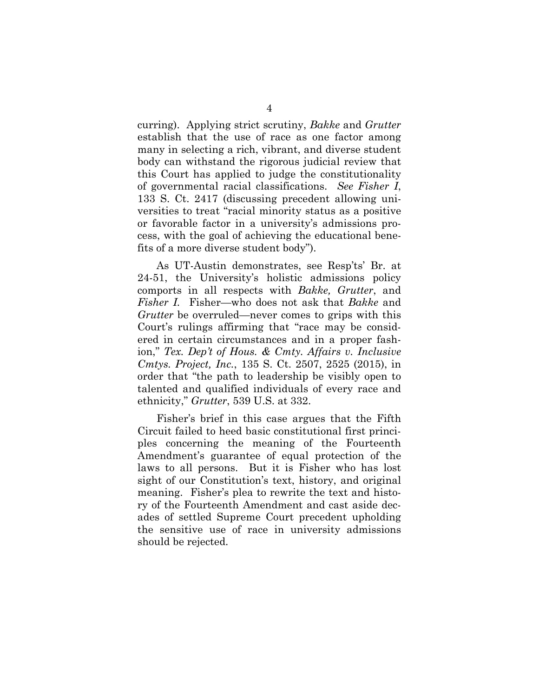curring). Applying strict scrutiny, Bakke and Grutter establish that the use of race as one factor among many in selecting a rich, vibrant, and diverse student body can withstand the rigorous judicial review that this Court has applied to judge the constitutionality of governmental racial classifications. See Fisher I, 133 S. Ct. 2417 (discussing precedent allowing universities to treat "racial minority status as a positive or favorable factor in a university's admissions process, with the goal of achieving the educational benefits of a more diverse student body").

As UT-Austin demonstrates, see Resp'ts' Br. at 24-51, the University's holistic admissions policy comports in all respects with Bakke, Grutter, and Fisher I. Fisher—who does not ask that Bakke and Grutter be overruled—never comes to grips with this Court's rulings affirming that "race may be considered in certain circumstances and in a proper fashion," Tex. Dep't of Hous. & Cmty. Affairs v. Inclusive Cmtys. Project, Inc., 135 S. Ct. 2507, 2525 (2015), in order that "the path to leadership be visibly open to talented and qualified individuals of every race and ethnicity," Grutter, 539 U.S. at 332.

Fisher's brief in this case argues that the Fifth Circuit failed to heed basic constitutional first principles concerning the meaning of the Fourteenth Amendment's guarantee of equal protection of the laws to all persons. But it is Fisher who has lost sight of our Constitution's text, history, and original meaning. Fisher's plea to rewrite the text and history of the Fourteenth Amendment and cast aside decades of settled Supreme Court precedent upholding the sensitive use of race in university admissions should be rejected.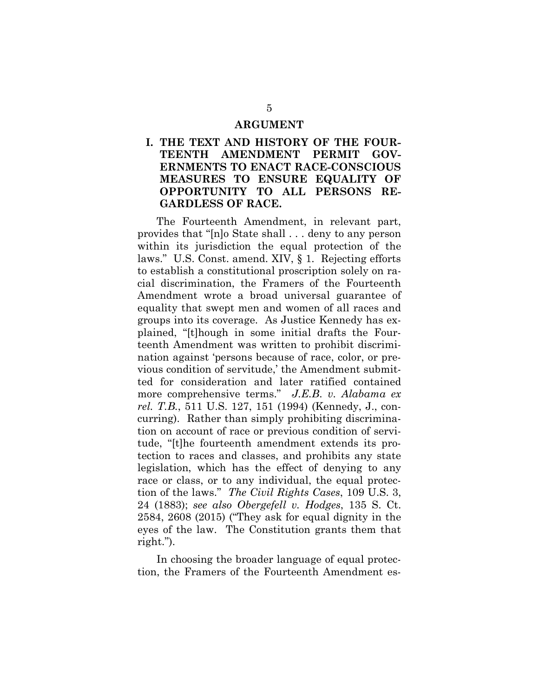#### ARGUMENT

### I. THE TEXT AND HISTORY OF THE FOUR-TEENTH AMENDMENT PERMIT GOV-ERNMENTS TO ENACT RACE-CONSCIOUS MEASURES TO ENSURE EQUALITY OF OPPORTUNITY TO ALL PERSONS RE-GARDLESS OF RACE.

The Fourteenth Amendment, in relevant part, provides that "[n]o State shall . . . deny to any person within its jurisdiction the equal protection of the laws." U.S. Const. amend. XIV, § 1. Rejecting efforts to establish a constitutional proscription solely on racial discrimination, the Framers of the Fourteenth Amendment wrote a broad universal guarantee of equality that swept men and women of all races and groups into its coverage. As Justice Kennedy has explained, "[t]hough in some initial drafts the Fourteenth Amendment was written to prohibit discrimination against 'persons because of race, color, or previous condition of servitude,' the Amendment submitted for consideration and later ratified contained more comprehensive terms." J.E.B. v. Alabama ex rel. T.B., 511 U.S. 127, 151 (1994) (Kennedy, J., concurring). Rather than simply prohibiting discrimination on account of race or previous condition of servitude, "[t]he fourteenth amendment extends its protection to races and classes, and prohibits any state legislation, which has the effect of denying to any race or class, or to any individual, the equal protection of the laws." The Civil Rights Cases, 109 U.S. 3, 24 (1883); see also Obergefell v. Hodges, 135 S. Ct. 2584, 2608 (2015) ("They ask for equal dignity in the eyes of the law. The Constitution grants them that right.").

In choosing the broader language of equal protection, the Framers of the Fourteenth Amendment es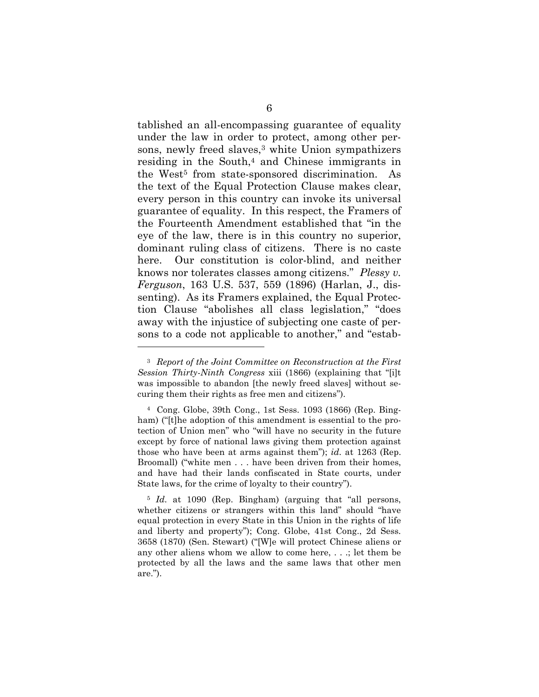tablished an all-encompassing guarantee of equality under the law in order to protect, among other persons, newly freed slaves, $3$  white Union sympathizers residing in the South,<sup>4</sup> and Chinese immigrants in the West<sup>5</sup> from state-sponsored discrimination. As the text of the Equal Protection Clause makes clear, every person in this country can invoke its universal guarantee of equality. In this respect, the Framers of the Fourteenth Amendment established that "in the eye of the law, there is in this country no superior, dominant ruling class of citizens. There is no caste here. Our constitution is color-blind, and neither knows nor tolerates classes among citizens." Plessy v. Ferguson, 163 U.S. 537, 559 (1896) (Harlan, J., dissenting). As its Framers explained, the Equal Protection Clause "abolishes all class legislation," "does away with the injustice of subjecting one caste of persons to a code not applicable to another," and "estab-

 $\overline{a}$ 

<sup>3</sup> Report of the Joint Committee on Reconstruction at the First Session Thirty-Ninth Congress xiii (1866) (explaining that "[i]t was impossible to abandon [the newly freed slaves] without securing them their rights as free men and citizens").

<sup>4</sup> Cong. Globe, 39th Cong., 1st Sess. 1093 (1866) (Rep. Bingham) ("[t]he adoption of this amendment is essential to the protection of Union men" who "will have no security in the future except by force of national laws giving them protection against those who have been at arms against them"); id. at  $1263$  (Rep. Broomall) ("white men . . . have been driven from their homes, and have had their lands confiscated in State courts, under State laws, for the crime of loyalty to their country").

<sup>&</sup>lt;sup>5</sup> Id. at 1090 (Rep. Bingham) (arguing that "all persons, whether citizens or strangers within this land" should "have equal protection in every State in this Union in the rights of life and liberty and property"); Cong. Globe, 41st Cong., 2d Sess. 3658 (1870) (Sen. Stewart) ("[W]e will protect Chinese aliens or any other aliens whom we allow to come here, . . .; let them be protected by all the laws and the same laws that other men are.").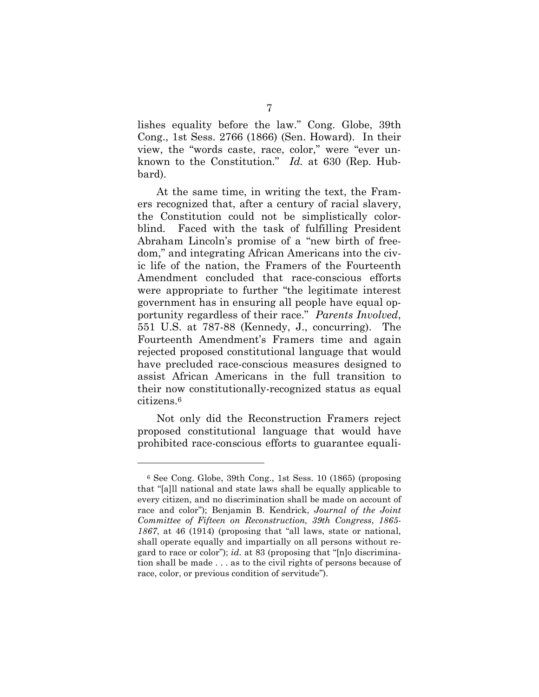lishes equality before the law." Cong. Globe, 39th Cong., 1st Sess. 2766 (1866) (Sen. Howard). In their view, the "words caste, race, color," were "ever unknown to the Constitution." Id. at 630 (Rep. Hubbard).

At the same time, in writing the text, the Framers recognized that, after a century of racial slavery, the Constitution could not be simplistically colorblind. Faced with the task of fulfilling President Abraham Lincoln's promise of a "new birth of freedom," and integrating African Americans into the civic life of the nation, the Framers of the Fourteenth Amendment concluded that race-conscious efforts were appropriate to further "the legitimate interest government has in ensuring all people have equal opportunity regardless of their race." Parents Involved, 551 U.S. at 787-88 (Kennedy, J., concurring). The Fourteenth Amendment's Framers time and again rejected proposed constitutional language that would have precluded race-conscious measures designed to assist African Americans in the full transition to their now constitutionally-recognized status as equal citizens.<sup>6</sup>

Not only did the Reconstruction Framers reject proposed constitutional language that would have prohibited race-conscious efforts to guarantee equali-

 $\overline{a}$ 

<sup>6</sup> See Cong. Globe, 39th Cong., 1st Sess. 10 (1865) (proposing that "[a]ll national and state laws shall be equally applicable to every citizen, and no discrimination shall be made on account of race and color"); Benjamin B. Kendrick, Journal of the Joint Committee of Fifteen on Reconstruction, 39th Congress, 1865- 1867, at 46 (1914) (proposing that "all laws, state or national, shall operate equally and impartially on all persons without regard to race or color"); id. at 83 (proposing that " $[n]$ o discrimination shall be made . . . as to the civil rights of persons because of race, color, or previous condition of servitude").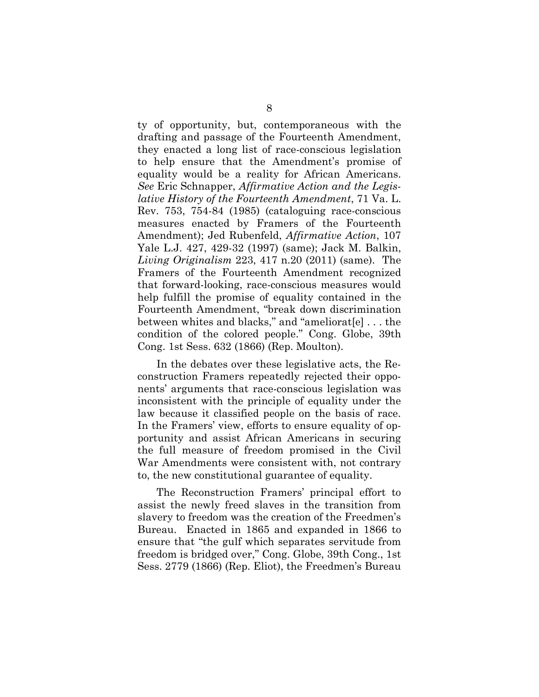ty of opportunity, but, contemporaneous with the drafting and passage of the Fourteenth Amendment, they enacted a long list of race-conscious legislation to help ensure that the Amendment's promise of equality would be a reality for African Americans. See Eric Schnapper, Affirmative Action and the Legislative History of the Fourteenth Amendment, 71 Va. L. Rev. 753, 754-84 (1985) (cataloguing race-conscious measures enacted by Framers of the Fourteenth Amendment); Jed Rubenfeld, Affirmative Action, 107 Yale L.J. 427, 429-32 (1997) (same); Jack M. Balkin, Living Originalism 223, 417 n.20 (2011) (same). The Framers of the Fourteenth Amendment recognized that forward-looking, race-conscious measures would help fulfill the promise of equality contained in the Fourteenth Amendment, "break down discrimination between whites and blacks," and "ameliorat[e] . . . the condition of the colored people." Cong. Globe, 39th Cong. 1st Sess. 632 (1866) (Rep. Moulton).

In the debates over these legislative acts, the Reconstruction Framers repeatedly rejected their opponents' arguments that race-conscious legislation was inconsistent with the principle of equality under the law because it classified people on the basis of race. In the Framers' view, efforts to ensure equality of opportunity and assist African Americans in securing the full measure of freedom promised in the Civil War Amendments were consistent with, not contrary to, the new constitutional guarantee of equality.

The Reconstruction Framers' principal effort to assist the newly freed slaves in the transition from slavery to freedom was the creation of the Freedmen's Bureau. Enacted in 1865 and expanded in 1866 to ensure that "the gulf which separates servitude from freedom is bridged over," Cong. Globe, 39th Cong., 1st Sess. 2779 (1866) (Rep. Eliot), the Freedmen's Bureau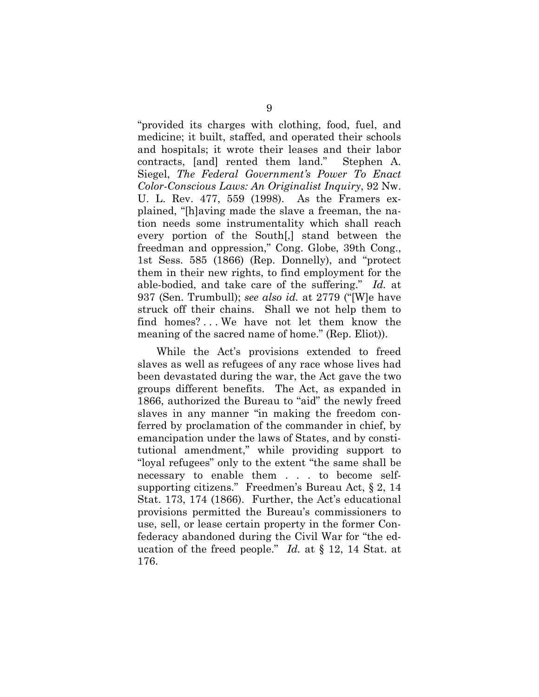"provided its charges with clothing, food, fuel, and medicine; it built, staffed, and operated their schools and hospitals; it wrote their leases and their labor contracts, [and] rented them land." Stephen A. Siegel, The Federal Government's Power To Enact Color-Conscious Laws: An Originalist Inquiry, 92 Nw. U. L. Rev. 477, 559 (1998). As the Framers explained, "[h]aving made the slave a freeman, the nation needs some instrumentality which shall reach every portion of the South[,] stand between the freedman and oppression," Cong. Globe, 39th Cong., 1st Sess. 585 (1866) (Rep. Donnelly), and "protect them in their new rights, to find employment for the able-bodied, and take care of the suffering." Id. at 937 (Sen. Trumbull); see also id. at 2779 ("[W]e have struck off their chains. Shall we not help them to find homes? . . . We have not let them know the meaning of the sacred name of home." (Rep. Eliot)).

While the Act's provisions extended to freed slaves as well as refugees of any race whose lives had been devastated during the war, the Act gave the two groups different benefits. The Act, as expanded in 1866, authorized the Bureau to "aid" the newly freed slaves in any manner "in making the freedom conferred by proclamation of the commander in chief, by emancipation under the laws of States, and by constitutional amendment," while providing support to "loyal refugees" only to the extent "the same shall be necessary to enable them . . . to become selfsupporting citizens." Freedmen's Bureau Act, § 2, 14 Stat. 173, 174 (1866). Further, the Act's educational provisions permitted the Bureau's commissioners to use, sell, or lease certain property in the former Confederacy abandoned during the Civil War for "the education of the freed people." Id. at § 12, 14 Stat. at 176.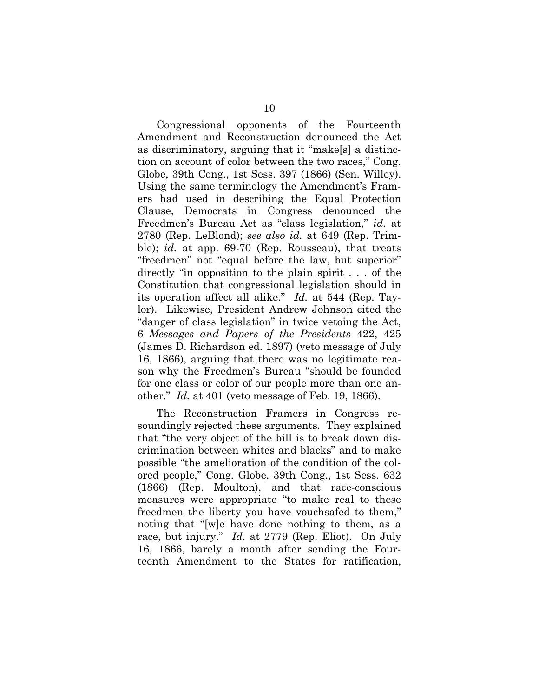Congressional opponents of the Fourteenth Amendment and Reconstruction denounced the Act as discriminatory, arguing that it "make[s] a distinction on account of color between the two races," Cong. Globe, 39th Cong., 1st Sess. 397 (1866) (Sen. Willey). Using the same terminology the Amendment's Framers had used in describing the Equal Protection Clause, Democrats in Congress denounced the Freedmen's Bureau Act as "class legislation," id. at  $2780$  (Rep. LeBlond); see also id. at 649 (Rep. Trimble); id. at app. 69-70 (Rep. Rousseau), that treats "freedmen" not "equal before the law, but superior" directly "in opposition to the plain spirit . . . of the Constitution that congressional legislation should in its operation affect all alike." Id. at 544 (Rep. Taylor). Likewise, President Andrew Johnson cited the "danger of class legislation" in twice vetoing the Act, 6 Messages and Papers of the Presidents 422, 425 (James D. Richardson ed. 1897) (veto message of July 16, 1866), arguing that there was no legitimate reason why the Freedmen's Bureau "should be founded for one class or color of our people more than one another." Id. at 401 (veto message of Feb. 19, 1866).

The Reconstruction Framers in Congress resoundingly rejected these arguments. They explained that "the very object of the bill is to break down discrimination between whites and blacks" and to make possible "the amelioration of the condition of the colored people," Cong. Globe, 39th Cong., 1st Sess. 632 (1866) (Rep. Moulton), and that race-conscious measures were appropriate "to make real to these freedmen the liberty you have vouchsafed to them," noting that "[w]e have done nothing to them, as a race, but injury." *Id.* at 2779 (Rep. Eliot). On July 16, 1866, barely a month after sending the Fourteenth Amendment to the States for ratification,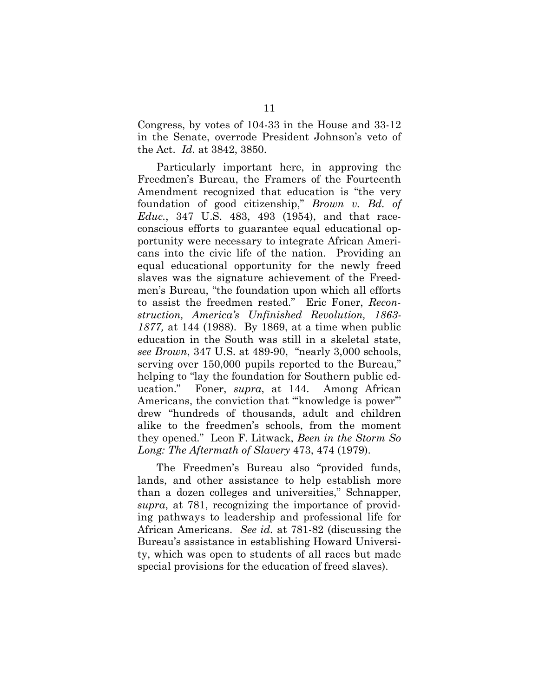Congress, by votes of 104-33 in the House and 33-12 in the Senate, overrode President Johnson's veto of the Act. Id. at 3842, 3850.

Particularly important here, in approving the Freedmen's Bureau, the Framers of the Fourteenth Amendment recognized that education is "the very foundation of good citizenship," Brown v. Bd. of Educ., 347 U.S. 483, 493 (1954), and that raceconscious efforts to guarantee equal educational opportunity were necessary to integrate African Americans into the civic life of the nation. Providing an equal educational opportunity for the newly freed slaves was the signature achievement of the Freedmen's Bureau, "the foundation upon which all efforts to assist the freedmen rested." Eric Foner, Reconstruction, America's Unfinished Revolution, 1863- 1877, at 144 (1988). By 1869, at a time when public education in the South was still in a skeletal state, see Brown, 347 U.S. at 489-90, "nearly 3,000 schools, serving over 150,000 pupils reported to the Bureau," helping to "lay the foundation for Southern public education." Foner, supra, at 144. Among African Americans, the conviction that "knowledge is power" drew "hundreds of thousands, adult and children alike to the freedmen's schools, from the moment they opened." Leon F. Litwack, Been in the Storm So Long: The Aftermath of Slavery 473, 474 (1979).

The Freedmen's Bureau also "provided funds, lands, and other assistance to help establish more than a dozen colleges and universities," Schnapper, supra, at 781, recognizing the importance of providing pathways to leadership and professional life for African Americans. See id. at 781-82 (discussing the Bureau's assistance in establishing Howard University, which was open to students of all races but made special provisions for the education of freed slaves).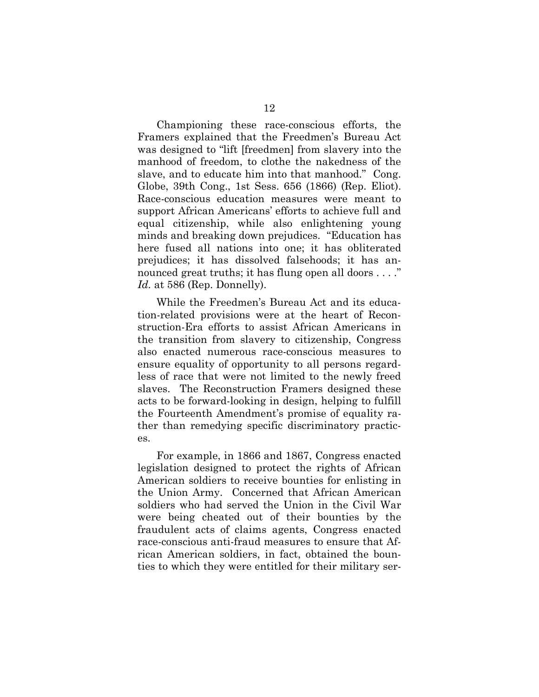Championing these race-conscious efforts, the Framers explained that the Freedmen's Bureau Act was designed to "lift [freedmen] from slavery into the manhood of freedom, to clothe the nakedness of the slave, and to educate him into that manhood." Cong. Globe, 39th Cong., 1st Sess. 656 (1866) (Rep. Eliot). Race-conscious education measures were meant to support African Americans' efforts to achieve full and equal citizenship, while also enlightening young minds and breaking down prejudices. "Education has here fused all nations into one; it has obliterated prejudices; it has dissolved falsehoods; it has announced great truths; it has flung open all doors . . . ." Id. at 586 (Rep. Donnelly).

While the Freedmen's Bureau Act and its education-related provisions were at the heart of Reconstruction-Era efforts to assist African Americans in the transition from slavery to citizenship, Congress also enacted numerous race-conscious measures to ensure equality of opportunity to all persons regardless of race that were not limited to the newly freed slaves. The Reconstruction Framers designed these acts to be forward-looking in design, helping to fulfill the Fourteenth Amendment's promise of equality rather than remedying specific discriminatory practices.

For example, in 1866 and 1867, Congress enacted legislation designed to protect the rights of African American soldiers to receive bounties for enlisting in the Union Army. Concerned that African American soldiers who had served the Union in the Civil War were being cheated out of their bounties by the fraudulent acts of claims agents, Congress enacted race-conscious anti-fraud measures to ensure that African American soldiers, in fact, obtained the bounties to which they were entitled for their military ser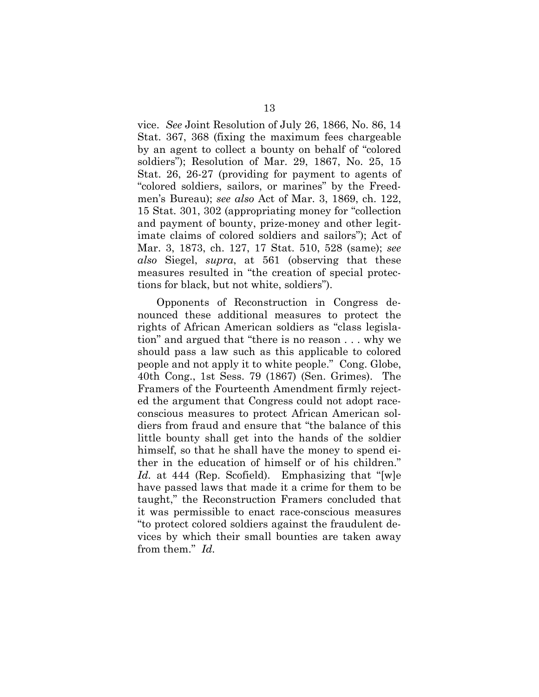vice. See Joint Resolution of July 26, 1866, No. 86, 14 Stat. 367, 368 (fixing the maximum fees chargeable by an agent to collect a bounty on behalf of "colored soldiers"); Resolution of Mar. 29, 1867, No. 25, 15 Stat. 26, 26-27 (providing for payment to agents of "colored soldiers, sailors, or marines" by the Freedmen's Bureau); see also Act of Mar. 3, 1869, ch. 122, 15 Stat. 301, 302 (appropriating money for "collection and payment of bounty, prize-money and other legitimate claims of colored soldiers and sailors"); Act of Mar. 3, 1873, ch. 127, 17 Stat. 510, 528 (same); see also Siegel, supra, at 561 (observing that these measures resulted in "the creation of special protections for black, but not white, soldiers").

Opponents of Reconstruction in Congress denounced these additional measures to protect the rights of African American soldiers as "class legislation" and argued that "there is no reason . . . why we should pass a law such as this applicable to colored people and not apply it to white people." Cong. Globe, 40th Cong., 1st Sess. 79 (1867) (Sen. Grimes). The Framers of the Fourteenth Amendment firmly rejected the argument that Congress could not adopt raceconscious measures to protect African American soldiers from fraud and ensure that "the balance of this little bounty shall get into the hands of the soldier himself, so that he shall have the money to spend either in the education of himself or of his children." Id. at 444 (Rep. Scofield). Emphasizing that "[w]e have passed laws that made it a crime for them to be taught," the Reconstruction Framers concluded that it was permissible to enact race-conscious measures "to protect colored soldiers against the fraudulent devices by which their small bounties are taken away from them." Id.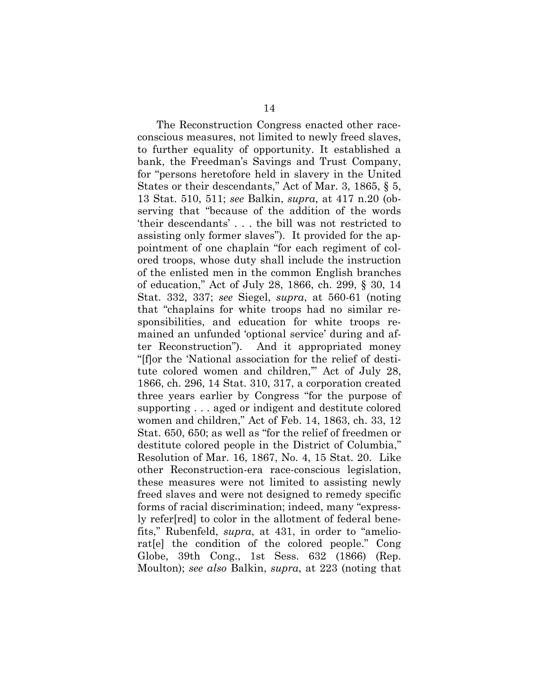The Reconstruction Congress enacted other raceconscious measures, not limited to newly freed slaves, to further equality of opportunity. It established a bank, the Freedman's Savings and Trust Company, for "persons heretofore held in slavery in the United States or their descendants," Act of Mar. 3, 1865, § 5, 13 Stat. 510, 511; see Balkin, supra, at 417 n.20 (observing that "because of the addition of the words 'their descendants' . . . the bill was not restricted to assisting only former slaves"). It provided for the appointment of one chaplain "for each regiment of colored troops, whose duty shall include the instruction of the enlisted men in the common English branches of education," Act of July 28, 1866, ch. 299, § 30, 14 Stat. 332, 337; see Siegel, supra, at 560-61 (noting that "chaplains for white troops had no similar responsibilities, and education for white troops remained an unfunded 'optional service' during and after Reconstruction"). And it appropriated money "[f]or the 'National association for the relief of destitute colored women and children,'" Act of July 28, 1866, ch. 296, 14 Stat. 310, 317, a corporation created three years earlier by Congress "for the purpose of supporting . . . aged or indigent and destitute colored women and children," Act of Feb. 14, 1863, ch. 33, 12 Stat. 650, 650; as well as "for the relief of freedmen or destitute colored people in the District of Columbia," Resolution of Mar. 16, 1867, No. 4, 15 Stat. 20. Like other Reconstruction-era race-conscious legislation, these measures were not limited to assisting newly freed slaves and were not designed to remedy specific forms of racial discrimination; indeed, many "expressly refer[red] to color in the allotment of federal benefits," Rubenfeld, supra, at 431, in order to "ameliorat[e] the condition of the colored people." Cong Globe, 39th Cong., 1st Sess. 632 (1866) (Rep. Moulton); see also Balkin, supra, at 223 (noting that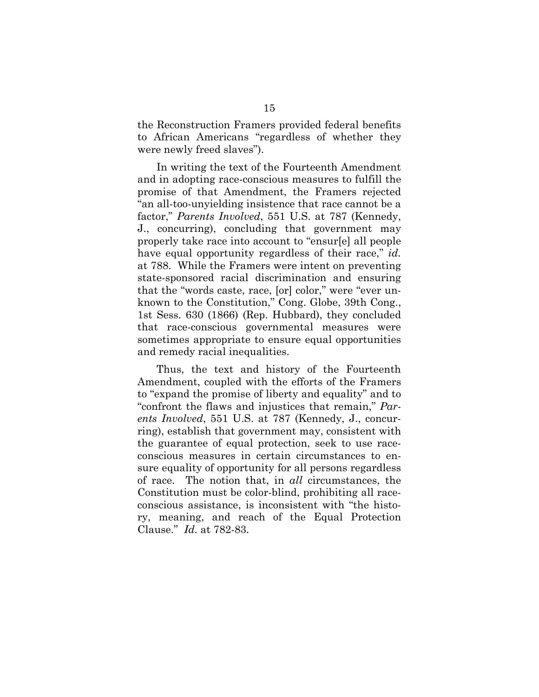the Reconstruction Framers provided federal benefits to African Americans "regardless of whether they were newly freed slaves").

In writing the text of the Fourteenth Amendment and in adopting race-conscious measures to fulfill the promise of that Amendment, the Framers rejected "an all-too-unyielding insistence that race cannot be a factor," Parents Involved, 551 U.S. at 787 (Kennedy, J., concurring), concluding that government may properly take race into account to "ensur[e] all people have equal opportunity regardless of their race," id. at 788. While the Framers were intent on preventing state-sponsored racial discrimination and ensuring that the "words caste, race, [or] color," were "ever unknown to the Constitution," Cong. Globe, 39th Cong., 1st Sess. 630 (1866) (Rep. Hubbard), they concluded that race-conscious governmental measures were sometimes appropriate to ensure equal opportunities and remedy racial inequalities.

Thus, the text and history of the Fourteenth Amendment, coupled with the efforts of the Framers to "expand the promise of liberty and equality" and to "confront the flaws and injustices that remain," Parents Involved, 551 U.S. at 787 (Kennedy, J., concurring), establish that government may, consistent with the guarantee of equal protection, seek to use raceconscious measures in certain circumstances to ensure equality of opportunity for all persons regardless of race. The notion that, in all circumstances, the Constitution must be color-blind, prohibiting all raceconscious assistance, is inconsistent with "the history, meaning, and reach of the Equal Protection Clause." Id. at 782-83.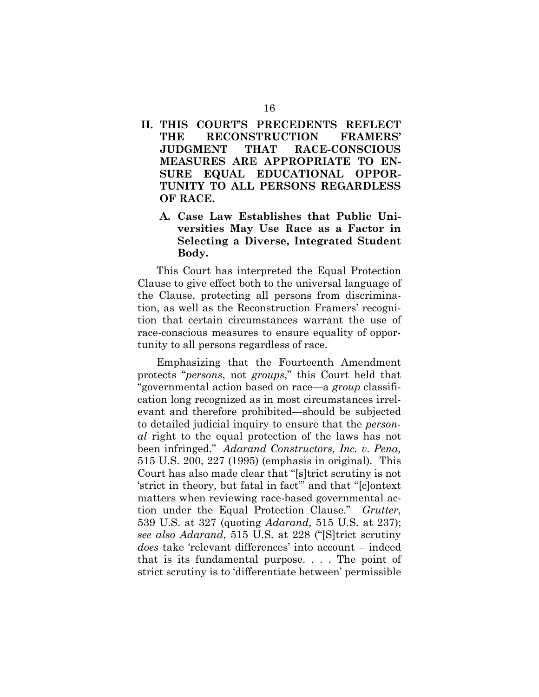II. THIS COURT'S PRECEDENTS REFLECT THE RECONSTRUCTION FRAMERS' JUDGMENT THAT RACE-CONSCIOUS MEASURES ARE APPROPRIATE TO EN-SURE EQUAL EDUCATIONAL OPPOR-TUNITY TO ALL PERSONS REGARDLESS OF RACE.

### A. Case Law Establishes that Public Universities May Use Race as a Factor in Selecting a Diverse, Integrated Student Body.

This Court has interpreted the Equal Protection Clause to give effect both to the universal language of the Clause, protecting all persons from discrimination, as well as the Reconstruction Framers' recognition that certain circumstances warrant the use of race-conscious measures to ensure equality of opportunity to all persons regardless of race.

Emphasizing that the Fourteenth Amendment protects "persons, not groups," this Court held that "governmental action based on race—a group classification long recognized as in most circumstances irrelevant and therefore prohibited—should be subjected to detailed judicial inquiry to ensure that the personal right to the equal protection of the laws has not been infringed." Adarand Constructors, Inc. v. Pena, 515 U.S. 200, 227 (1995) (emphasis in original). This Court has also made clear that "[s]trict scrutiny is not 'strict in theory, but fatal in fact'" and that "[c]ontext matters when reviewing race-based governmental action under the Equal Protection Clause." Grutter, 539 U.S. at 327 (quoting *Adarand*, 515 U.S. at 237); see also Adarand, 515 U.S. at 228 ("[S]trict scrutiny does take 'relevant differences' into account – indeed that is its fundamental purpose. . . . The point of strict scrutiny is to 'differentiate between' permissible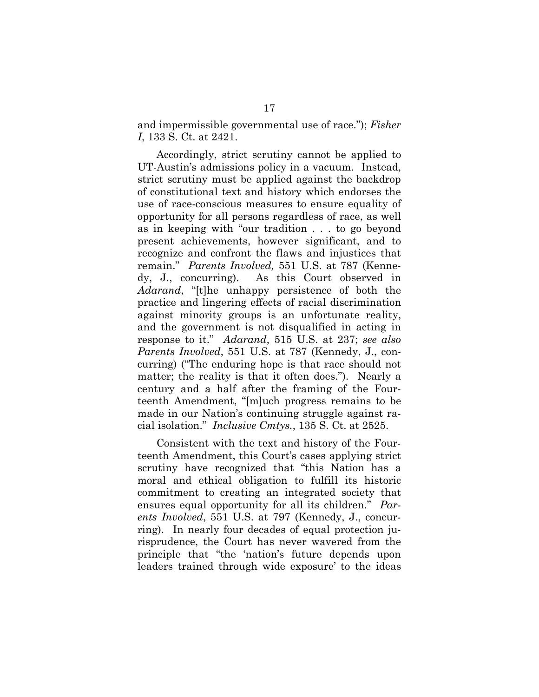and impermissible governmental use of race."); Fisher I, 133 S. Ct. at 2421.

Accordingly, strict scrutiny cannot be applied to UT-Austin's admissions policy in a vacuum. Instead, strict scrutiny must be applied against the backdrop of constitutional text and history which endorses the use of race-conscious measures to ensure equality of opportunity for all persons regardless of race, as well as in keeping with "our tradition . . . to go beyond present achievements, however significant, and to recognize and confront the flaws and injustices that remain." Parents Involved, 551 U.S. at 787 (Kennedy, J., concurring). As this Court observed in Adarand, "[t]he unhappy persistence of both the practice and lingering effects of racial discrimination against minority groups is an unfortunate reality, and the government is not disqualified in acting in response to it." Adarand, 515 U.S. at 237; see also Parents Involved, 551 U.S. at 787 (Kennedy, J., concurring) ("The enduring hope is that race should not matter; the reality is that it often does."). Nearly a century and a half after the framing of the Fourteenth Amendment, "[m]uch progress remains to be made in our Nation's continuing struggle against racial isolation." Inclusive Cmtys., 135 S. Ct. at 2525.

Consistent with the text and history of the Fourteenth Amendment, this Court's cases applying strict scrutiny have recognized that "this Nation has a moral and ethical obligation to fulfill its historic commitment to creating an integrated society that ensures equal opportunity for all its children." Parents Involved, 551 U.S. at 797 (Kennedy, J., concurring). In nearly four decades of equal protection jurisprudence, the Court has never wavered from the principle that "the 'nation's future depends upon leaders trained through wide exposure' to the ideas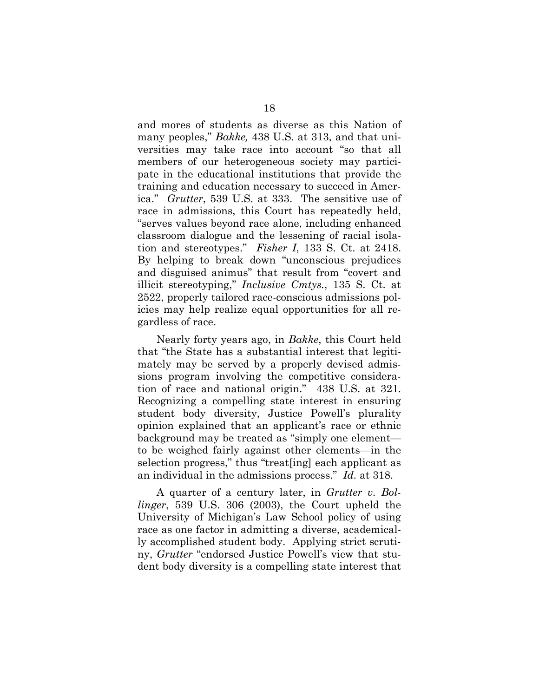and mores of students as diverse as this Nation of many peoples," Bakke, 438 U.S. at 313, and that universities may take race into account "so that all members of our heterogeneous society may participate in the educational institutions that provide the training and education necessary to succeed in America." Grutter, 539 U.S. at 333. The sensitive use of race in admissions, this Court has repeatedly held, "serves values beyond race alone, including enhanced classroom dialogue and the lessening of racial isolation and stereotypes." Fisher I, 133 S. Ct. at 2418. By helping to break down "unconscious prejudices and disguised animus" that result from "covert and illicit stereotyping," Inclusive Cmtys., 135 S. Ct. at 2522, properly tailored race-conscious admissions policies may help realize equal opportunities for all regardless of race.

Nearly forty years ago, in Bakke, this Court held that "the State has a substantial interest that legitimately may be served by a properly devised admissions program involving the competitive consideration of race and national origin." 438 U.S. at 321. Recognizing a compelling state interest in ensuring student body diversity, Justice Powell's plurality opinion explained that an applicant's race or ethnic background may be treated as "simply one element to be weighed fairly against other elements—in the selection progress," thus "treat[ing] each applicant as an individual in the admissions process." Id. at 318.

A quarter of a century later, in Grutter v. Bollinger, 539 U.S. 306 (2003), the Court upheld the University of Michigan's Law School policy of using race as one factor in admitting a diverse, academically accomplished student body. Applying strict scrutiny, Grutter "endorsed Justice Powell's view that student body diversity is a compelling state interest that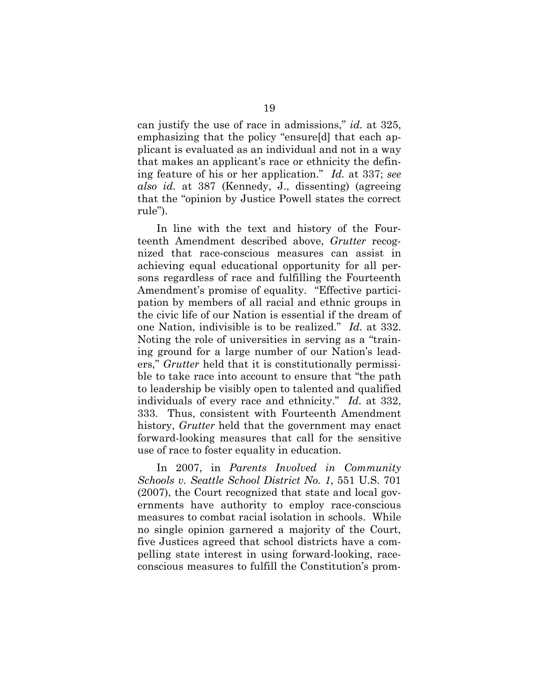can justify the use of race in admissions," id. at 325, emphasizing that the policy "ensure[d] that each applicant is evaluated as an individual and not in a way that makes an applicant's race or ethnicity the defining feature of his or her application." Id. at 337; see also id. at 387 (Kennedy, J., dissenting) (agreeing that the "opinion by Justice Powell states the correct rule").

In line with the text and history of the Fourteenth Amendment described above, Grutter recognized that race-conscious measures can assist in achieving equal educational opportunity for all persons regardless of race and fulfilling the Fourteenth Amendment's promise of equality. "Effective participation by members of all racial and ethnic groups in the civic life of our Nation is essential if the dream of one Nation, indivisible is to be realized." Id. at 332. Noting the role of universities in serving as a "training ground for a large number of our Nation's leaders," Grutter held that it is constitutionally permissible to take race into account to ensure that "the path to leadership be visibly open to talented and qualified individuals of every race and ethnicity." Id. at 332, 333. Thus, consistent with Fourteenth Amendment history, *Grutter* held that the government may enact forward-looking measures that call for the sensitive use of race to foster equality in education.

In 2007, in Parents Involved in Community Schools v. Seattle School District No. 1, 551 U.S. 701 (2007), the Court recognized that state and local governments have authority to employ race-conscious measures to combat racial isolation in schools. While no single opinion garnered a majority of the Court, five Justices agreed that school districts have a compelling state interest in using forward-looking, raceconscious measures to fulfill the Constitution's prom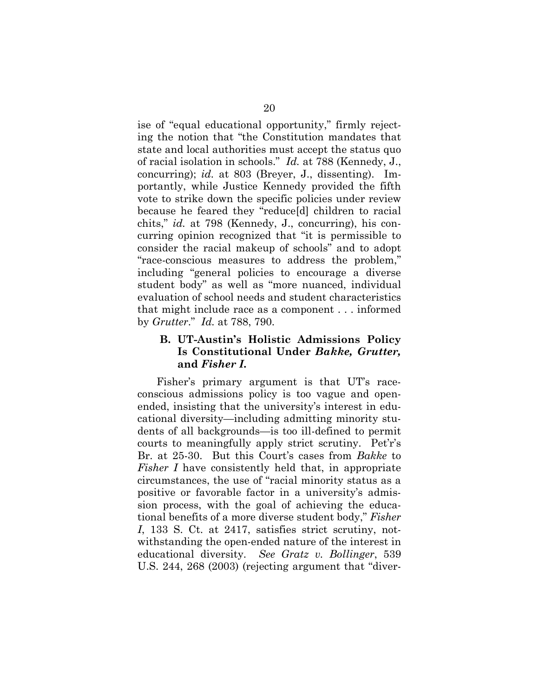ise of "equal educational opportunity," firmly rejecting the notion that "the Constitution mandates that state and local authorities must accept the status quo of racial isolation in schools." Id. at 788 (Kennedy, J., concurring); id. at 803 (Breyer, J., dissenting). Importantly, while Justice Kennedy provided the fifth vote to strike down the specific policies under review because he feared they "reduce[d] children to racial chits," id. at 798 (Kennedy, J., concurring), his concurring opinion recognized that "it is permissible to consider the racial makeup of schools" and to adopt "race-conscious measures to address the problem," including "general policies to encourage a diverse student body" as well as "more nuanced, individual evaluation of school needs and student characteristics that might include race as a component . . . informed by Grutter." Id. at 788, 790.

### B. UT-Austin's Holistic Admissions Policy Is Constitutional Under Bakke, Grutter, and Fisher I.

Fisher's primary argument is that UT's raceconscious admissions policy is too vague and openended, insisting that the university's interest in educational diversity—including admitting minority students of all backgrounds—is too ill-defined to permit courts to meaningfully apply strict scrutiny. Pet'r's Br. at 25-30. But this Court's cases from Bakke to Fisher I have consistently held that, in appropriate circumstances, the use of "racial minority status as a positive or favorable factor in a university's admission process, with the goal of achieving the educational benefits of a more diverse student body," Fisher I, 133 S. Ct. at 2417, satisfies strict scrutiny, notwithstanding the open-ended nature of the interest in educational diversity. See Gratz v. Bollinger, 539 U.S. 244, 268 (2003) (rejecting argument that "diver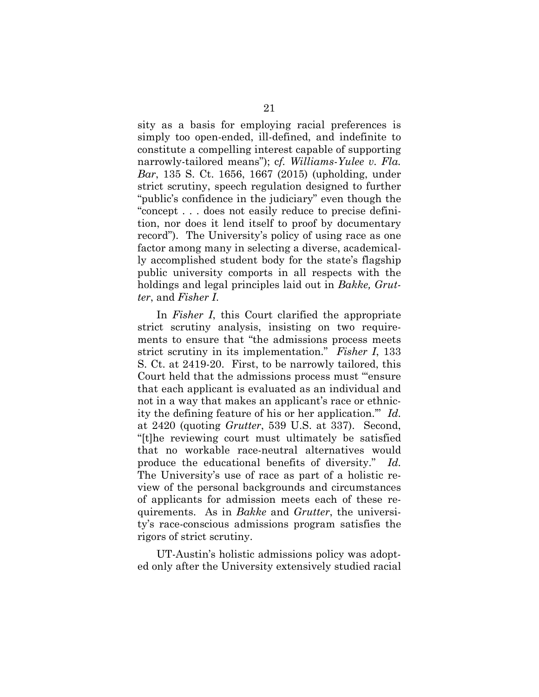sity as a basis for employing racial preferences is simply too open-ended, ill-defined, and indefinite to constitute a compelling interest capable of supporting narrowly-tailored means"); cf. Williams-Yulee v. Fla. Bar, 135 S. Ct. 1656, 1667 (2015) (upholding, under strict scrutiny, speech regulation designed to further "public's confidence in the judiciary" even though the "concept . . . does not easily reduce to precise definition, nor does it lend itself to proof by documentary record"). The University's policy of using race as one factor among many in selecting a diverse, academically accomplished student body for the state's flagship public university comports in all respects with the holdings and legal principles laid out in Bakke, Grutter, and Fisher I.

In *Fisher I*, this Court clarified the appropriate strict scrutiny analysis, insisting on two requirements to ensure that "the admissions process meets strict scrutiny in its implementation." Fisher I, 133 S. Ct. at 2419-20. First, to be narrowly tailored, this Court held that the admissions process must "'ensure that each applicant is evaluated as an individual and not in a way that makes an applicant's race or ethnicity the defining feature of his or her application.'" Id. at 2420 (quoting Grutter, 539 U.S. at 337). Second, "[t]he reviewing court must ultimately be satisfied that no workable race-neutral alternatives would produce the educational benefits of diversity." Id. The University's use of race as part of a holistic review of the personal backgrounds and circumstances of applicants for admission meets each of these requirements. As in Bakke and Grutter, the university's race-conscious admissions program satisfies the rigors of strict scrutiny.

UT-Austin's holistic admissions policy was adopted only after the University extensively studied racial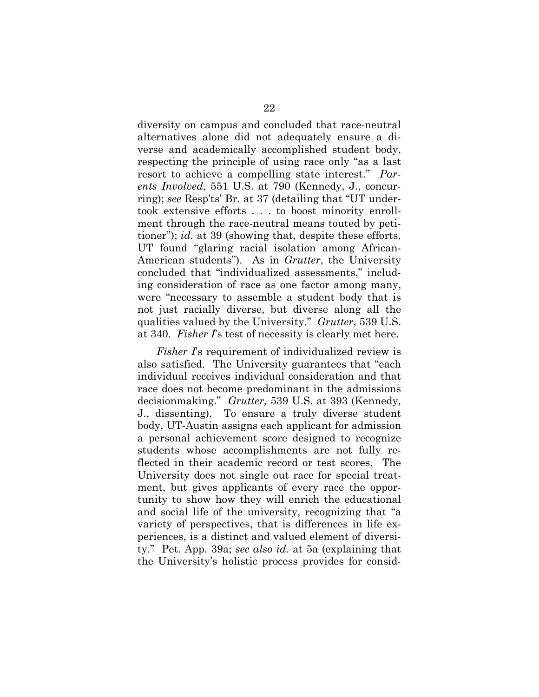diversity on campus and concluded that race-neutral alternatives alone did not adequately ensure a diverse and academically accomplished student body, respecting the principle of using race only "as a last resort to achieve a compelling state interest." Parents Involved, 551 U.S. at 790 (Kennedy, J., concurring); see Resp'ts' Br. at 37 (detailing that "UT undertook extensive efforts . . . to boost minority enrollment through the race-neutral means touted by petitioner"); id. at 39 (showing that, despite these efforts, UT found "glaring racial isolation among African-American students"). As in Grutter, the University concluded that "individualized assessments," including consideration of race as one factor among many, were "necessary to assemble a student body that is not just racially diverse, but diverse along all the qualities valued by the University." Grutter, 539 U.S. at 340. Fisher I's test of necessity is clearly met here.

Fisher I's requirement of individualized review is also satisfied. The University guarantees that "each individual receives individual consideration and that race does not become predominant in the admissions decisionmaking." Grutter, 539 U.S. at 393 (Kennedy, J., dissenting). To ensure a truly diverse student body, UT-Austin assigns each applicant for admission a personal achievement score designed to recognize students whose accomplishments are not fully reflected in their academic record or test scores. The University does not single out race for special treatment, but gives applicants of every race the opportunity to show how they will enrich the educational and social life of the university, recognizing that "a variety of perspectives, that is differences in life experiences, is a distinct and valued element of diversity." Pet. App. 39a; see also id. at 5a (explaining that the University's holistic process provides for consid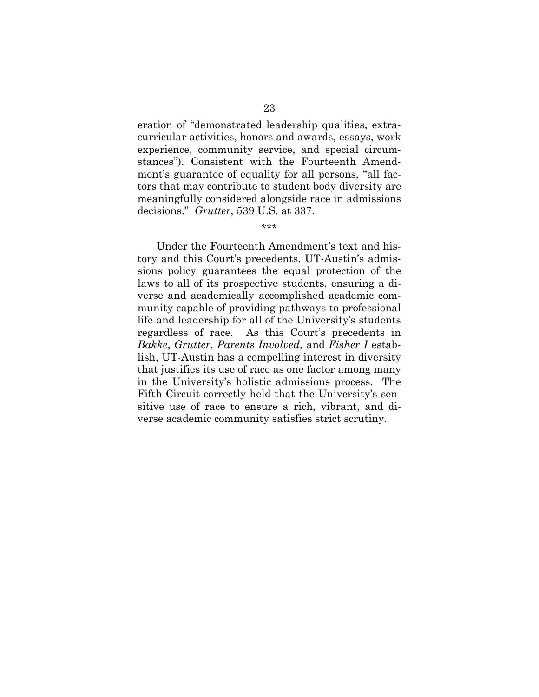eration of "demonstrated leadership qualities, extracurricular activities, honors and awards, essays, work experience, community service, and special circumstances"). Consistent with the Fourteenth Amendment's guarantee of equality for all persons, "all factors that may contribute to student body diversity are meaningfully considered alongside race in admissions decisions." Grutter, 539 U.S. at 337.

Under the Fourteenth Amendment's text and history and this Court's precedents, UT-Austin's admissions policy guarantees the equal protection of the laws to all of its prospective students, ensuring a diverse and academically accomplished academic community capable of providing pathways to professional life and leadership for all of the University's students regardless of race. As this Court's precedents in Bakke, Grutter, Parents Involved, and Fisher I establish, UT-Austin has a compelling interest in diversity that justifies its use of race as one factor among many in the University's holistic admissions process. The Fifth Circuit correctly held that the University's sensitive use of race to ensure a rich, vibrant, and diverse academic community satisfies strict scrutiny.

<sup>\*\*\*</sup>